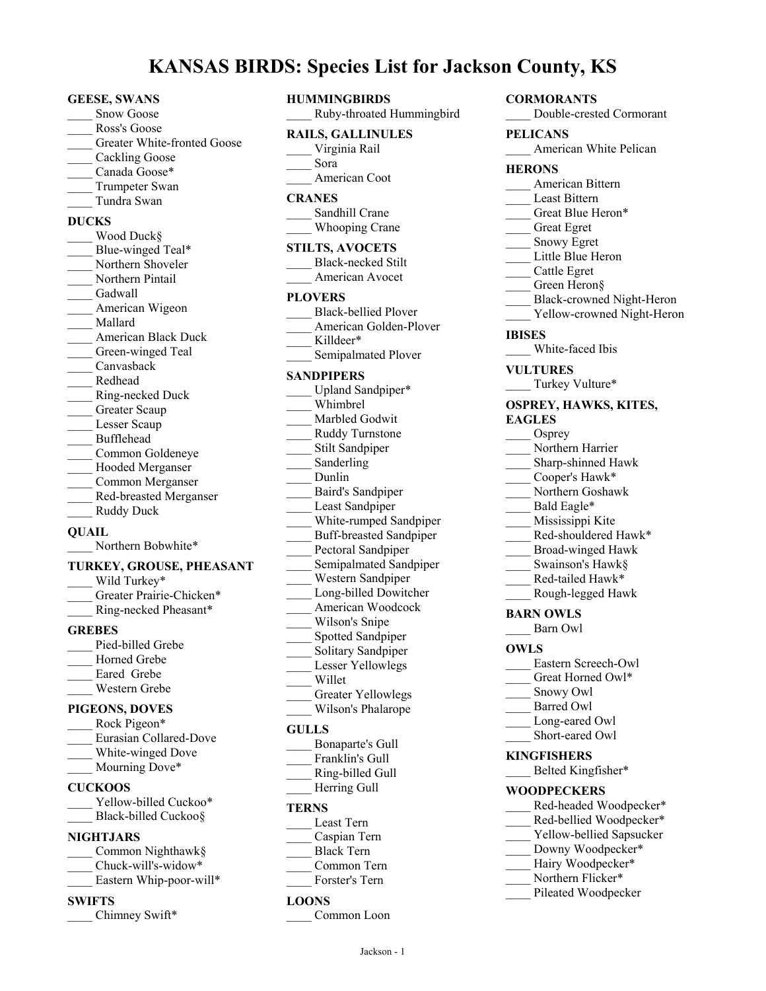# **KANSAS BIRDS: Species List for Jackson County, KS**

#### **GEESE, SWANS**

- Snow Goose \_\_\_\_ Ross's Goose
- Greater White-fronted Goose
- Cackling Goose
- Canada Goose\*
- Trumpeter Swan
- \_\_\_\_ Tundra Swan
- **DUCKS**
- Wood Duck§ Blue-winged Teal\* Northern Shoveler Northern Pintail \_\_\_\_ Gadwall American Wigeon \_\_\_\_ Mallard American Black Duck Green-winged Teal Canvasback \_\_\_\_ Redhead \_\_\_\_ Ring-necked Duck Greater Scaup Lesser Scaup \_\_\_\_ Bufflehead \_\_\_\_ Common Goldeneye Hooded Merganser \_\_\_\_ Common Merganser \_\_\_\_ Red-breasted Merganser Ruddy Duck **QUAIL**
	- Northern Bobwhite\*

#### **TURKEY, GROUSE, PHEASANT**

| Wild Turkey*             |  |  |
|--------------------------|--|--|
| Greater Prairie-Chicken* |  |  |
| Ring-necked Pheasant*    |  |  |
| <b>GREBES</b>            |  |  |
| Pied-billed Grebe        |  |  |
|                          |  |  |

Horned Grebe Eared Grebe \_\_\_\_ Western Grebe

#### **PIGEONS, DOVES**

| Rock Pigeon*           |
|------------------------|
| Eurasian Collared-Dove |
| White-winged Dove      |
| Mourning Dove*         |

# **CUCKOOS**

Yellow-billed Cuckoo\* Black-billed Cuckoo§

#### **NIGHTJARS**

| Common Nighthawk§       |
|-------------------------|
| Chuck-will's-widow*     |
| Eastern Whip-poor-will* |

#### **SWIFTS**

Chimney Swift\*

| <b>S: Species List for Ja</b>                                                                                                                                                                                                                                                                                                                                                                                                                                                                                              |
|----------------------------------------------------------------------------------------------------------------------------------------------------------------------------------------------------------------------------------------------------------------------------------------------------------------------------------------------------------------------------------------------------------------------------------------------------------------------------------------------------------------------------|
| <b>HUMMINGBIRDS</b><br>Ruby-throated Hummingbird                                                                                                                                                                                                                                                                                                                                                                                                                                                                           |
| <b>RAILS, GALLINULES</b><br>Virginia Rail<br>Sora<br>American Coot                                                                                                                                                                                                                                                                                                                                                                                                                                                         |
| <b>CRANES</b><br>Sandhill Crane<br><b>Whooping Crane</b>                                                                                                                                                                                                                                                                                                                                                                                                                                                                   |
| <b>STILTS, AVOCETS</b><br><b>Black-necked Stilt</b><br>American Avocet                                                                                                                                                                                                                                                                                                                                                                                                                                                     |
| <b>PLOVERS</b><br><b>Black-bellied Plover</b><br>American Golden-Plover<br>Killdeer*<br>Semipalmated Plover                                                                                                                                                                                                                                                                                                                                                                                                                |
| <b>SANDPIPERS</b><br>Upland Sandpiper*<br>Whimbrel<br>Marbled Godwit<br>Ruddy Turnstone<br>Stilt Sandpiper<br>Sanderling<br>Dunlin<br>Baird's Sandpiper<br>$\mathbb{R}^2$<br>Least Sandpiper<br>White-rumped Sandpiper<br><b>Buff-breasted Sandpiper</b><br>Pectoral Sandpiper<br>Semipalmated Sandpiper<br>Western Sandpiper<br>Long-billed Dowitcher<br>American Woodcock<br>Wilson's Snipe<br>Spotted Sandpiper<br>Solitary Sandpiper<br>Lesser Yellowlegs<br>Willet<br><b>Greater Yellowlegs</b><br>Wilson's Phalarope |
| $C \text{III} \Gamma \text{C}$                                                                                                                                                                                                                                                                                                                                                                                                                                                                                             |

#### **GULLS**

| Bonaparte's Gull |
|------------------|
| Franklin's Gull  |
| Ring-billed Gull |

Herring Gull

#### **TERNS**

- \_\_\_\_ Least Tern
- \_\_\_\_ Caspian Tern
- \_\_\_\_ Black Tern
- \_\_\_\_ Common Tern
- Forster's Tern

#### **LOONS**

Common Loon

**CORMORANTS** \_\_\_\_ Double-crested Cormorant **PELICANS** American White Pelican **HERONS** \_\_\_\_ American Bittern Least Bittern Great Blue Heron\* \_\_\_\_ Great Egret Snowy Egret Little Blue Heron \_\_\_\_ Cattle Egret Green Heron§ \_\_\_\_ Black-crowned Night-Heron Yellow-crowned Night-Heron **IBISES** White-faced Ibis **VULTURES** Turkey Vulture\* **OSPREY, HAWKS, KITES, EAGLES** Osprey Northern Harrier Sharp-shinned Hawk Cooper's Hawk\* \_\_\_\_ Northern Goshawk Bald Eagle\* \_\_\_\_ Mississippi Kite Red-shouldered Hawk\* \_\_\_\_ Broad-winged Hawk Swainson's Hawk§ Red-tailed Hawk\* \_\_\_\_ Rough-legged Hawk **BARN OWLS** \_\_\_\_ Barn Owl **OWLS** Eastern Screech-Owl Great Horned Owl\* Snowy Owl Barred Owl Long-eared Owl Short-eared Owl **KINGFISHERS** Belted Kingfisher\*

#### **WOODPECKERS**

- Red-headed Woodpecker\*
- Red-bellied Woodpecker\*
- Yellow-bellied Sapsucker
- Downy Woodpecker\*
- Hairy Woodpecker\*
- Northern Flicker\*
- Pileated Woodpecker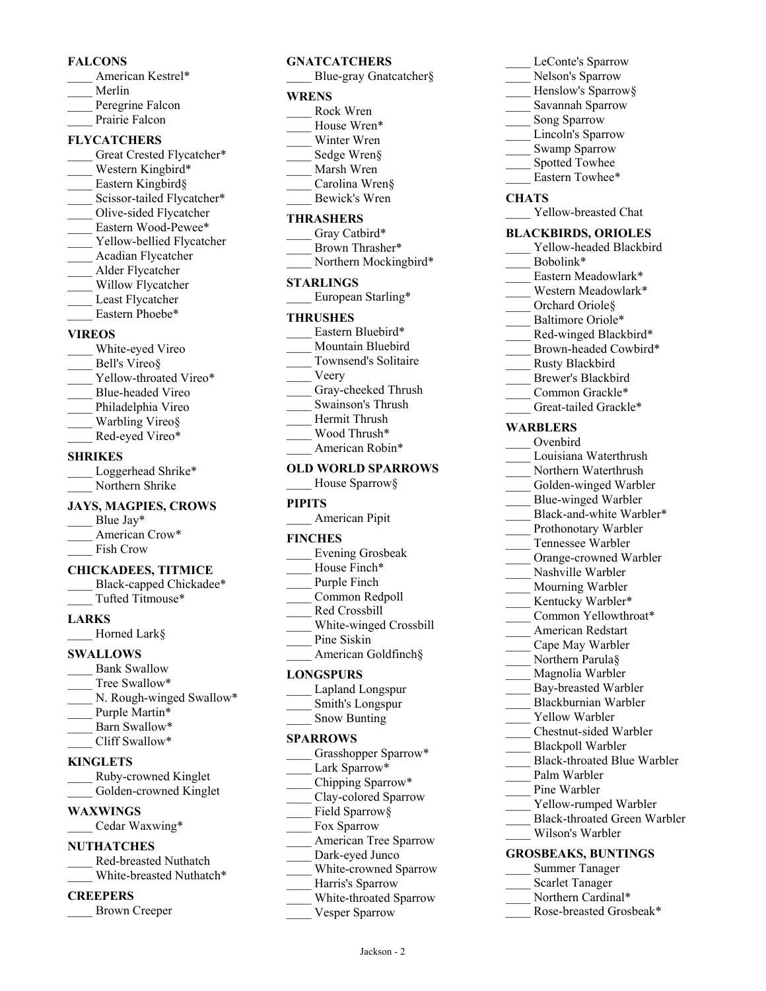#### **FALCONS**

- American Kestrel\*
- \_\_\_\_ Merlin
- Peregrine Falcon
- Prairie Falcon

#### **FLYCATCHERS**

- Great Crested Flycatcher\* Western Kingbird\* Eastern Kingbird§ Scissor-tailed Flycatcher\*
- Olive-sided Flycatcher
- Eastern Wood-Pewee\*
- Yellow-bellied Flycatcher
- \_\_\_\_ Acadian Flycatcher
- \_\_\_\_ Alder Flycatcher
- Willow Flycatcher
- Least Flycatcher
- Eastern Phoebe\*

#### **VIREOS**

- White-eyed Vireo Bell's Vireo§
- Yellow-throated Vireo\*
- \_\_\_\_ Blue-headed Vireo
- Philadelphia Vireo
- Warbling Vireo§
- Red-eyed Vireo\*

#### **SHRIKES**

Loggerhead Shrike\* Northern Shrike

#### **JAYS, MAGPIES, CROWS**

- Blue Jay\*
- American Crow\* Fish Crow

#### **CHICKADEES, TITMICE**

Black-capped Chickadee\* \_\_\_\_ Tufted Titmouse\*

#### **LARKS**

Horned Lark§

#### **SWALLOWS**

Bank Swallow Tree Swallow\* N. Rough-winged Swallow\* Purple Martin\* Barn Swallow\* Cliff Swallow\*

#### **KINGLETS**

| Ruby-crowned Kinglet   |
|------------------------|
| Golden-crowned Kinglet |

#### **WAXWINGS**

Cedar Waxwing\*

# **NUTHATCHES**

\_\_\_\_ Red-breasted Nuthatch White-breasted Nuthatch\*

#### **CREEPERS**

\_\_\_\_ Brown Creeper

# **GNATCATCHERS**

- Blue-gray Gnatcatcher§ **WRENS** \_\_\_\_ Rock Wren House Wren\* Winter Wren Sedge Wren§ \_\_\_\_ Marsh Wren \_\_\_\_ Carolina Wren§ \_\_\_\_ Bewick's Wren **THRASHERS** Gray Catbird\* Brown Thrasher\*
- \_\_\_\_ Northern Mockingbird\*
- **STARLINGS** European Starling\*
- 
- **THRUSHES** Eastern Bluebird\* Mountain Bluebird
- \_\_\_\_ Townsend's Solitaire
- \_\_\_\_ Veery
- Gray-cheeked Thrush
- \_\_\_\_ Swainson's Thrush
- \_\_\_\_ Hermit Thrush
- Wood Thrush\*
- American Robin\*

#### **OLD WORLD SPARROWS**

House Sparrow§

#### **PIPITS**

\_\_\_\_ American Pipit

#### **FINCHES**

- \_\_\_\_ Evening Grosbeak
- House Finch\*
- Purple Finch \_\_\_\_ Common Redpoll
- \_\_\_\_ Red Crossbill
- \_\_\_\_ White-winged Crossbill
- Pine Siskin
- \_\_\_\_ American Goldfinch§

#### **LONGSPURS**

- \_\_\_\_ Lapland Longspur \_\_\_\_ Smith's Longspur
- Snow Bunting

#### **SPARROWS**

- Grasshopper Sparrow\* Lark Sparrow\* \_\_\_\_ Chipping Sparrow\* Clay-colored Sparrow Field Sparrow§ Fox Sparrow American Tree Sparrow Dark-eyed Junco
- White-crowned Sparrow
- Harris's Sparrow
- \_\_\_\_ White-throated Sparrow

Jackson - 2

Vesper Sparrow

### LeConte's Sparrow Nelson's Sparrow Henslow's Sparrow§ \_\_\_\_ Savannah Sparrow Song Sparrow Lincoln's Sparrow Swamp Sparrow Spotted Towhee Eastern Towhee\* **CHATS** Yellow-breasted Chat **BLACKBIRDS, ORIOLES** Yellow-headed Blackbird Bobolink\* Eastern Meadowlark\* Western Meadowlark\*

- Orchard Oriole<sub>§</sub>
- Baltimore Oriole\*
- Red-winged Blackbird\*
- Brown-headed Cowbird\*
- \_\_\_\_ Rusty Blackbird
- Brewer's Blackbird
- Common Grackle\*
- Great-tailed Grackle\*

## **WARBLERS**

- \_\_\_\_ Ovenbird
- \_\_\_\_ Louisiana Waterthrush
- Northern Waterthrush
- Golden-winged Warbler
- Blue-winged Warbler
- Black-and-white Warbler\* Prothonotary Warbler
- \_\_\_\_ Tennessee Warbler
- Orange-crowned Warbler
- Nashville Warbler
- Mourning Warbler
- Kentucky Warbler\*
- Common Yellowthroat\*

Bay-breasted Warbler \_\_\_\_ Blackburnian Warbler Yellow Warbler \_\_\_\_ Chestnut-sided Warbler \_\_\_\_ Blackpoll Warbler

\_\_\_\_ Black-throated Blue Warbler

Yellow-rumped Warbler \_\_\_\_ Black-throated Green Warbler

- \_\_\_\_ American Redstart
- \_\_\_\_ Cape May Warbler
- Northern Parula§ Magnolia Warbler

Palm Warbler Pine Warbler

\_\_\_\_ Wilson's Warbler **GROSBEAKS, BUNTINGS** \_\_\_\_ Summer Tanager Scarlet Tanager Northern Cardinal\* Rose-breasted Grosbeak\*